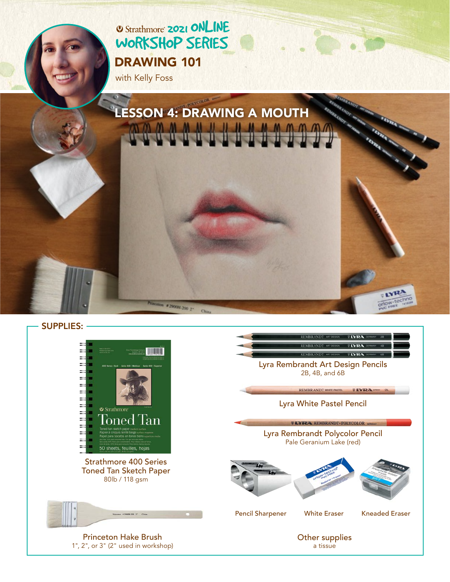# **2021 ONLINE** [WORKSHOP SERIES](https://www.strathmoreartiststudio.com/) [DRAWING 101](https://www.strathmoreartiststudio.com/groups/workshop-3-2021/forum/)

with Kelly Foss



SUPPLIES:

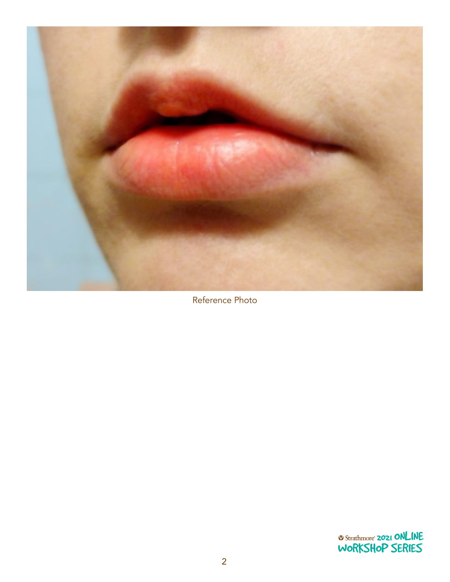

Reference Photo

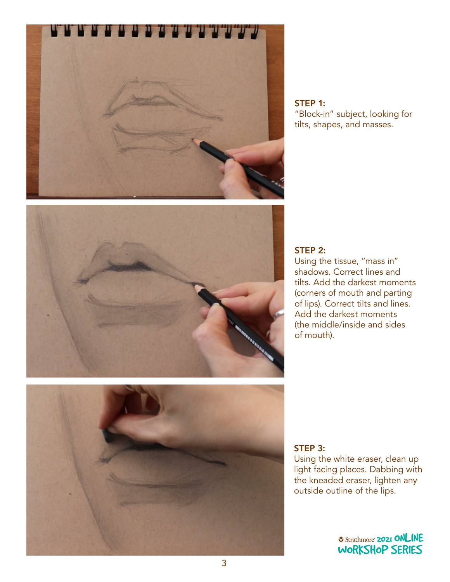

STEP 1: "Block-in" subject, looking for tilts, shapes, and masses.



### STEP 2:

Using the tissue, "mass in" shadows. Correct lines and tilts. Add the darkest moments (corners of mouth and parting of lips). Correct tilts and lines. Add the darkest moments (the middle/inside and sides of mouth).



## STEP 3:

Using the white eraser, clean up light facing places. Dabbing with the kneaded eraser, lighten any outside outline of the lips. WORKSHOP SERIES<br>WORKSHOP

> **2021 ONLINE** [WORKSHOP SERIES](https://www.strathmoreartiststudio.com/)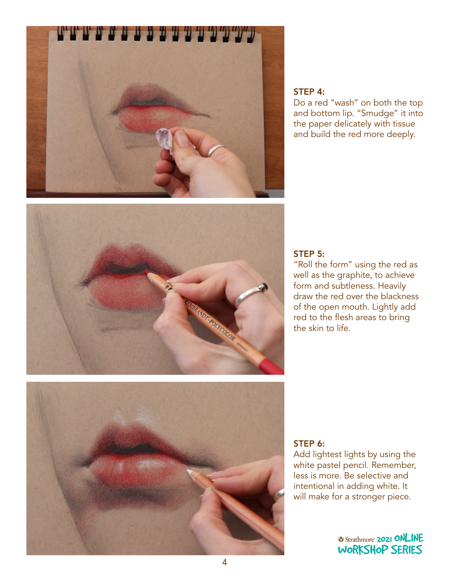

#### STEP 4:

Do a red "wash" on both the top and bottom lip. "Smudge" it into the paper delicately with tissue and build the red more deeply.



## STEP 5:

"Roll the form" using the red as well as the graphite, to achieve form and subtleness. Heavily draw the red over the blackness of the open mouth. Lightly add red to the flesh areas to bring the skin to life.



## STEP 6:

Add lightest lights by using the white pastel pencil. Remember, less is more. Be selective and intentional in adding white. It<br>will make far a stranger piece will make for a stronger piece.<br>'

> **2021 ONLINE** [WORKSHOP SERIES](https://www.strathmoreartiststudio.com/)